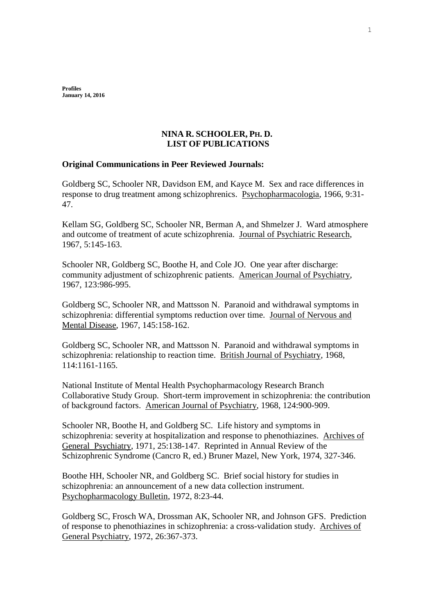**Profiles January 14, 2016**

## **NINA R. SCHOOLER, PH. D. LIST OF PUBLICATIONS**

## **Original Communications in Peer Reviewed Journals:**

Goldberg SC, Schooler NR, Davidson EM, and Kayce M. Sex and race differences in response to drug treatment among schizophrenics. Psychopharmacologia, 1966, 9:31- 47.

Kellam SG, Goldberg SC, Schooler NR, Berman A, and Shmelzer J. Ward atmosphere and outcome of treatment of acute schizophrenia. Journal of Psychiatric Research, 1967, 5:145-163.

Schooler NR, Goldberg SC, Boothe H, and Cole JO. One year after discharge: community adjustment of schizophrenic patients. American Journal of Psychiatry, 1967, 123:986-995.

Goldberg SC, Schooler NR, and Mattsson N. Paranoid and withdrawal symptoms in schizophrenia: differential symptoms reduction over time. Journal of Nervous and Mental Disease, 1967, 145:158-162.

Goldberg SC, Schooler NR, and Mattsson N. Paranoid and withdrawal symptoms in schizophrenia: relationship to reaction time. British Journal of Psychiatry, 1968, 114:1161-1165.

National Institute of Mental Health Psychopharmacology Research Branch Collaborative Study Group. Short-term improvement in schizophrenia: the contribution of background factors. American Journal of Psychiatry, 1968, 124:900-909.

Schooler NR, Boothe H, and Goldberg SC. Life history and symptoms in schizophrenia: severity at hospitalization and response to phenothiazines. Archives of General Psychiatry, 1971, 25:138-147. Reprinted in Annual Review of the Schizophrenic Syndrome (Cancro R, ed.) Bruner Mazel, New York, 1974, 327-346.

Boothe HH, Schooler NR, and Goldberg SC. Brief social history for studies in schizophrenia: an announcement of a new data collection instrument. Psychopharmacology Bulletin, 1972, 8:23-44.

Goldberg SC, Frosch WA, Drossman AK, Schooler NR, and Johnson GFS. Prediction of response to phenothiazines in schizophrenia: a cross-validation study. Archives of General Psychiatry, 1972, 26:367-373.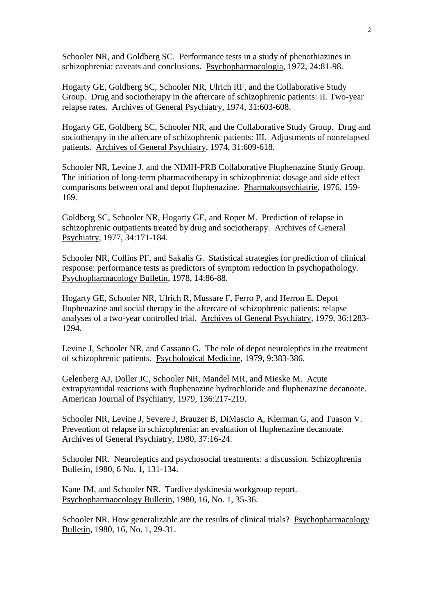Schooler NR, and Goldberg SC. Performance tests in a study of phenothiazines in schizophrenia: caveats and conclusions. Psychopharmacologia, 1972, 24:81-98.

Hogarty GE, Goldberg SC, Schooler NR, Ulrich RF, and the Collaborative Study Group. Drug and sociotherapy in the aftercare of schizophrenic patients: II. Two-year relapse rates. Archives of General Psychiatry, 1974, 31:603-608.

Hogarty GE, Goldberg SC, Schooler NR, and the Collaborative Study Group. Drug and sociotherapy in the aftercare of schizophrenic patients: III. Adjustments of nonrelapsed patients. Archives of General Psychiatry, 1974, 31:609-618.

Schooler NR, Levine J, and the NIMH-PRB Collaborative Fluphenazine Study Group. The initiation of long-term pharmacotherapy in schizophrenia: dosage and side effect comparisons between oral and depot fluphenazine. Pharmakopsychiatrie, 1976, 159- 169.

Goldberg SC, Schooler NR, Hogarty GE, and Roper M. Prediction of relapse in schizophrenic outpatients treated by drug and sociotherapy. Archives of General Psychiatry, 1977, 34:171-184.

Schooler NR, Collins PF, and Sakalis G. Statistical strategies for prediction of clinical response: performance tests as predictors of symptom reduction in psychopathology. Psychopharmacology Bulletin, 1978, 14:86-88.

Hogarty GE, Schooler NR, Ulrich R, Mussare F, Ferro P, and Herron E. Depot fluphenazine and social therapy in the aftercare of schizophrenic patients: relapse analyses of a two-year controlled trial. Archives of General Psychiatry, 1979, 36:1283- 1294.

Levine J, Schooler NR, and Cassano G. The role of depot neuroleptics in the treatment of schizophrenic patients. Psychological Medicine, 1979, 9:383-386.

Gelenberg AJ, Doller JC, Schooler NR, Mandel MR, and Mieske M. Acute extrapyramidal reactions with fluphenazine hydrochloride and fluphenazine decanoate. American Journal of Psychiatry, 1979, 136:217-219.

Schooler NR, Levine J, Severe J, Brauzer B, DiMascio A, Klerman G, and Tuason V. Prevention of relapse in schizophrenia: an evaluation of fluphenazine decanoate. Archives of General Psychiatry, 1980, 37:16-24.

Schooler NR. Neuroleptics and psychosocial treatments: a discussion. Schizophrenia Bulletin, 1980, 6 No. 1, 131-134.

Kane JM, and Schooler NR. Tardive dyskinesia workgroup report. Psychopharmaocology Bulletin, 1980, 16, No. 1, 35-36.

Schooler NR. How generalizable are the results of clinical trials? Psychopharmacology Bulletin, 1980, 16, No. 1, 29-31.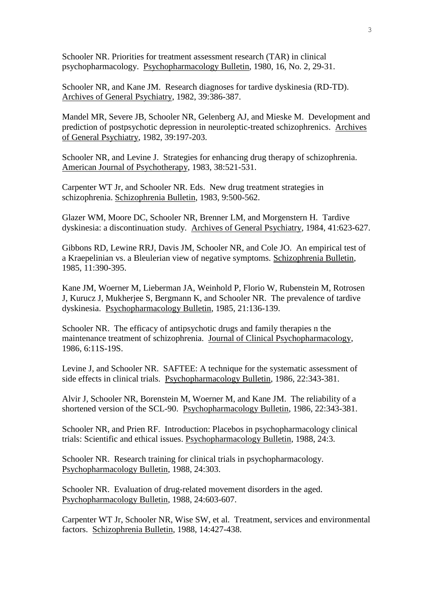Schooler NR. Priorities for treatment assessment research (TAR) in clinical psychopharmacology. Psychopharmacology Bulletin, 1980, 16, No. 2, 29-31.

Schooler NR, and Kane JM. Research diagnoses for tardive dyskinesia (RD-TD). Archives of General Psychiatry, 1982, 39:386-387.

Mandel MR, Severe JB, Schooler NR, Gelenberg AJ, and Mieske M. Development and prediction of postpsychotic depression in neuroleptic-treated schizophrenics. Archives of General Psychiatry, 1982, 39:197-203.

Schooler NR, and Levine J. Strategies for enhancing drug therapy of schizophrenia. American Journal of Psychotherapy, 1983, 38:521-531.

Carpenter WT Jr, and Schooler NR. Eds. New drug treatment strategies in schizophrenia. Schizophrenia Bulletin, 1983, 9:500-562.

Glazer WM, Moore DC, Schooler NR, Brenner LM, and Morgenstern H. Tardive dyskinesia: a discontinuation study. Archives of General Psychiatry, 1984, 41:623-627.

Gibbons RD, Lewine RRJ, Davis JM, Schooler NR, and Cole JO. An empirical test of a Kraepelinian vs. a Bleulerian view of negative symptoms. Schizophrenia Bulletin, 1985, 11:390-395.

Kane JM, Woerner M, Lieberman JA, Weinhold P, Florio W, Rubenstein M, Rotrosen J, Kurucz J, Mukherjee S, Bergmann K, and Schooler NR. The prevalence of tardive dyskinesia. Psychopharmacology Bulletin, 1985, 21:136-139.

Schooler NR. The efficacy of antipsychotic drugs and family therapies n the maintenance treatment of schizophrenia. Journal of Clinical Psychopharmacology, 1986, 6:11S-19S.

Levine J, and Schooler NR. SAFTEE: A technique for the systematic assessment of side effects in clinical trials. Psychopharmacology Bulletin, 1986, 22:343-381.

Alvir J, Schooler NR, Borenstein M, Woerner M, and Kane JM. The reliability of a shortened version of the SCL-90. Psychopharmacology Bulletin, 1986, 22:343-381.

Schooler NR, and Prien RF. Introduction: Placebos in psychopharmacology clinical trials: Scientific and ethical issues. Psychopharmacology Bulletin, 1988, 24:3.

Schooler NR. Research training for clinical trials in psychopharmacology. Psychopharmacology Bulletin, 1988, 24:303.

Schooler NR. Evaluation of drug-related movement disorders in the aged. Psychopharmacology Bulletin, 1988, 24:603-607.

Carpenter WT Jr, Schooler NR, Wise SW, et al. Treatment, services and environmental factors. Schizophrenia Bulletin, 1988, 14:427-438.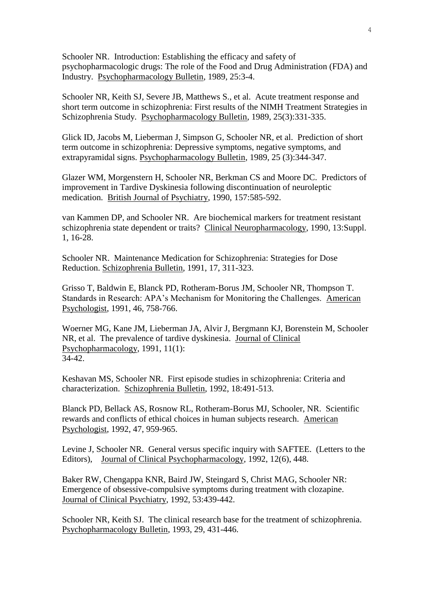Schooler NR. Introduction: Establishing the efficacy and safety of psychopharmacologic drugs: The role of the Food and Drug Administration (FDA) and Industry. Psychopharmacology Bulletin, 1989, 25:3-4.

Schooler NR, Keith SJ, Severe JB, Matthews S., et al. Acute treatment response and short term outcome in schizophrenia: First results of the NIMH Treatment Strategies in Schizophrenia Study. Psychopharmacology Bulletin, 1989, 25(3):331-335.

Glick ID, Jacobs M, Lieberman J, Simpson G, Schooler NR, et al. Prediction of short term outcome in schizophrenia: Depressive symptoms, negative symptoms, and extrapyramidal signs. Psychopharmacology Bulletin, 1989, 25 (3):344-347.

Glazer WM, Morgenstern H, Schooler NR, Berkman CS and Moore DC. Predictors of improvement in Tardive Dyskinesia following discontinuation of neuroleptic medication. British Journal of Psychiatry, 1990, 157:585-592.

van Kammen DP, and Schooler NR. Are biochemical markers for treatment resistant schizophrenia state dependent or traits? Clinical Neuropharmacology, 1990, 13:Suppl. 1, 16-28.

Schooler NR. Maintenance Medication for Schizophrenia: Strategies for Dose Reduction. Schizophrenia Bulletin, 1991, 17, 311-323.

Grisso T, Baldwin E, Blanck PD, Rotheram-Borus JM, Schooler NR, Thompson T. Standards in Research: APA's Mechanism for Monitoring the Challenges. American Psychologist, 1991, 46, 758-766.

Woerner MG, Kane JM, Lieberman JA, Alvir J, Bergmann KJ, Borenstein M, Schooler NR, et al. The prevalence of tardive dyskinesia. Journal of Clinical Psychopharmacology, 1991, 11(1): 34-42.

Keshavan MS, Schooler NR. First episode studies in schizophrenia: Criteria and characterization. Schizophrenia Bulletin, 1992, 18:491-513.

Blanck PD, Bellack AS, Rosnow RL, Rotheram-Borus MJ, Schooler, NR. Scientific rewards and conflicts of ethical choices in human subjects research. American Psychologist, 1992, 47, 959-965.

Levine J, Schooler NR. General versus specific inquiry with SAFTEE. (Letters to the Editors), Journal of Clinical Psychopharmacology, 1992, 12(6), 448.

Baker RW, Chengappa KNR, Baird JW, Steingard S, Christ MAG, Schooler NR: Emergence of obsessive-compulsive symptoms during treatment with clozapine. Journal of Clinical Psychiatry, 1992, 53:439-442.

Schooler NR, Keith SJ. The clinical research base for the treatment of schizophrenia. Psychopharmacology Bulletin, 1993, 29, 431-446.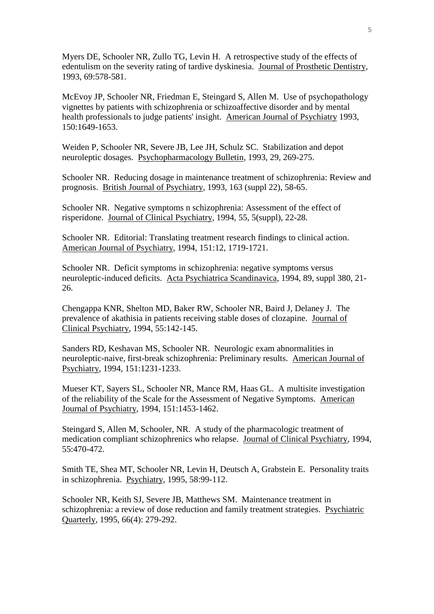Myers DE, Schooler NR, Zullo TG, Levin H. A retrospective study of the effects of edentulism on the severity rating of tardive dyskinesia. Journal of Prosthetic Dentistry, 1993, 69:578-581.

McEvoy JP, Schooler NR, Friedman E, Steingard S, Allen M. Use of psychopathology vignettes by patients with schizophrenia or schizoaffective disorder and by mental health professionals to judge patients' insight. American Journal of Psychiatry 1993, 150:1649-1653.

Weiden P, Schooler NR, Severe JB, Lee JH, Schulz SC. Stabilization and depot neuroleptic dosages. Psychopharmacology Bulletin, 1993, 29, 269-275.

Schooler NR. Reducing dosage in maintenance treatment of schizophrenia: Review and prognosis. British Journal of Psychiatry, 1993, 163 (suppl 22), 58-65.

Schooler NR. Negative symptoms n schizophrenia: Assessment of the effect of risperidone. Journal of Clinical Psychiatry, 1994, 55, 5(suppl), 22-28.

Schooler NR. Editorial: Translating treatment research findings to clinical action. American Journal of Psychiatry, 1994, 151:12, 1719-1721.

Schooler NR. Deficit symptoms in schizophrenia: negative symptoms versus neuroleptic-induced deficits. Acta Psychiatrica Scandinavica, 1994, 89, suppl 380, 21- 26.

Chengappa KNR, Shelton MD, Baker RW, Schooler NR, Baird J, Delaney J. The prevalence of akathisia in patients receiving stable doses of clozapine. Journal of Clinical Psychiatry, 1994, 55:142-145.

Sanders RD, Keshavan MS, Schooler NR. Neurologic exam abnormalities in neuroleptic-naive, first-break schizophrenia: Preliminary results. American Journal of Psychiatry, 1994, 151:1231-1233.

Mueser KT, Sayers SL, Schooler NR, Mance RM, Haas GL. A multisite investigation of the reliability of the Scale for the Assessment of Negative Symptoms. American Journal of Psychiatry, 1994, 151:1453-1462.

Steingard S, Allen M, Schooler, NR. A study of the pharmacologic treatment of medication compliant schizophrenics who relapse. Journal of Clinical Psychiatry, 1994, 55:470-472.

Smith TE, Shea MT, Schooler NR, Levin H, Deutsch A, Grabstein E. Personality traits in schizophrenia. Psychiatry, 1995, 58:99-112.

Schooler NR, Keith SJ, Severe JB, Matthews SM. Maintenance treatment in schizophrenia: a review of dose reduction and family treatment strategies. Psychiatric Quarterly, 1995, 66(4): 279-292.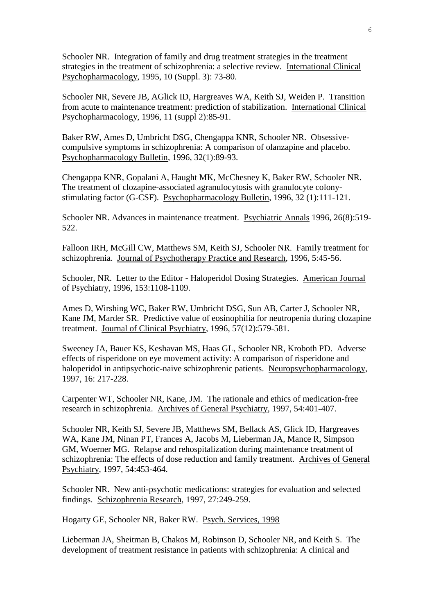Schooler NR. Integration of family and drug treatment strategies in the treatment strategies in the treatment of schizophrenia: a selective review. International Clinical Psychopharmacology, 1995, 10 (Suppl. 3): 73-80.

Schooler NR, Severe JB, AGlick ID, Hargreaves WA, Keith SJ, Weiden P. Transition from acute to maintenance treatment: prediction of stabilization. International Clinical Psychopharmacology, 1996, 11 (suppl 2):85-91.

Baker RW, Ames D, Umbricht DSG, Chengappa KNR, Schooler NR. Obsessivecompulsive symptoms in schizophrenia: A comparison of olanzapine and placebo. Psychopharmacology Bulletin, 1996, 32(1):89-93.

Chengappa KNR, Gopalani A, Haught MK, McChesney K, Baker RW, Schooler NR. The treatment of clozapine-associated agranulocytosis with granulocyte colonystimulating factor (G-CSF). Psychopharmacology Bulletin, 1996, 32 (1):111-121.

Schooler NR. Advances in maintenance treatment. Psychiatric Annals 1996, 26(8):519- 522.

Falloon IRH, McGill CW, Matthews SM, Keith SJ, Schooler NR. Family treatment for schizophrenia. Journal of Psychotherapy Practice and Research, 1996, 5:45-56.

Schooler, NR. Letter to the Editor - Haloperidol Dosing Strategies. American Journal of Psychiatry, 1996, 153:1108-1109.

Ames D, Wirshing WC, Baker RW, Umbricht DSG, Sun AB, Carter J, Schooler NR, Kane JM, Marder SR. Predictive value of eosinophilia for neutropenia during clozapine treatment. Journal of Clinical Psychiatry, 1996, 57(12):579-581.

Sweeney JA, Bauer KS, Keshavan MS, Haas GL, Schooler NR, Kroboth PD. Adverse effects of risperidone on eye movement activity: A comparison of risperidone and haloperidol in antipsychotic-naive schizophrenic patients. Neuropsychopharmacology, 1997, 16: 217-228.

Carpenter WT, Schooler NR, Kane, JM. The rationale and ethics of medication-free research in schizophrenia. Archives of General Psychiatry, 1997, 54:401-407.

Schooler NR, Keith SJ, Severe JB, Matthews SM, Bellack AS, Glick ID, Hargreaves WA, Kane JM, Ninan PT, Frances A, Jacobs M, Lieberman JA, Mance R, Simpson GM, Woerner MG. Relapse and rehospitalization during maintenance treatment of schizophrenia: The effects of dose reduction and family treatment. Archives of General Psychiatry, 1997, 54:453-464.

Schooler NR. New anti-psychotic medications: strategies for evaluation and selected findings. Schizophrenia Research, 1997, 27:249-259.

Hogarty GE, Schooler NR, Baker RW. Psych. Services, 1998

Lieberman JA, Sheitman B, Chakos M, Robinson D, Schooler NR, and Keith S. The development of treatment resistance in patients with schizophrenia: A clinical and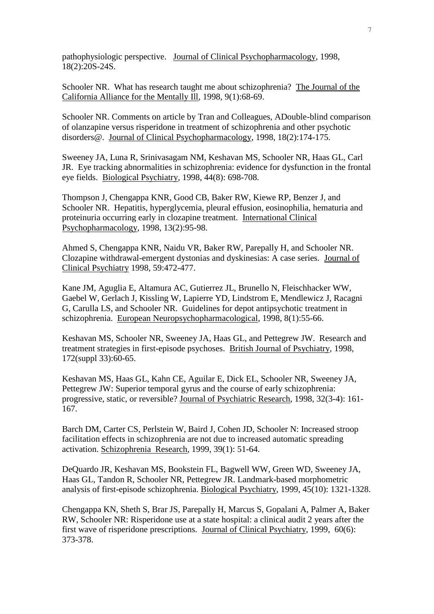pathophysiologic perspective. Journal of Clinical Psychopharmacology, 1998, 18(2):20S-24S.

Schooler NR. What has research taught me about schizophrenia? The Journal of the California Alliance for the Mentally Ill, 1998, 9(1):68-69.

Schooler NR. Comments on article by Tran and Colleagues, ADouble-blind comparison of olanzapine versus risperidone in treatment of schizophrenia and other psychotic disorders@. Journal of Clinical Psychopharmacology, 1998, 18(2):174-175.

Sweeney JA, Luna R, Srinivasagam NM, Keshavan MS, Schooler NR, Haas GL, Carl JR. Eye tracking abnormalities in schizophrenia: evidence for dysfunction in the frontal eye fields. Biological Psychiatry, 1998, 44(8): 698-708.

Thompson J, Chengappa KNR, Good CB, Baker RW, Kiewe RP, Benzer J, and Schooler NR. Hepatitis, hyperglycemia, pleural effusion, eosinophilia, hematuria and proteinuria occurring early in clozapine treatment. International Clinical Psychopharmacology, 1998, 13(2):95-98.

Ahmed S, Chengappa KNR, Naidu VR, Baker RW, Parepally H, and Schooler NR. Clozapine withdrawal-emergent dystonias and dyskinesias: A case series. Journal of Clinical Psychiatry 1998, 59:472-477.

Kane JM, Aguglia E, Altamura AC, Gutierrez JL, Brunello N, Fleischhacker WW, Gaebel W, Gerlach J, Kissling W, Lapierre YD, Lindstrom E, Mendlewicz J, Racagni G, Carulla LS, and Schooler NR. Guidelines for depot antipsychotic treatment in schizophrenia. European Neuropsychopharmacological, 1998, 8(1):55-66.

Keshavan MS, Schooler NR, Sweeney JA, Haas GL, and Pettegrew JW. Research and treatment strategies in first-episode psychoses. British Journal of Psychiatry, 1998, 172(suppl 33):60-65.

Keshavan MS, Haas GL, Kahn CE, Aguilar E, Dick EL, Schooler NR, Sweeney JA, Pettegrew JW: Superior temporal gyrus and the course of early schizophrenia: progressive, static, or reversible? Journal of Psychiatric Research, 1998, 32(3-4): 161- 167.

Barch DM, Carter CS, Perlstein W, Baird J, Cohen JD, Schooler N: Increased stroop facilitation effects in schizophrenia are not due to increased automatic spreading activation. Schizophrenia Research, 1999, 39(1): 51-64.

DeQuardo JR, Keshavan MS, Bookstein FL, Bagwell WW, Green WD, Sweeney JA, Haas GL, Tandon R, Schooler NR, Pettegrew JR. Landmark-based morphometric analysis of first-episode schizophrenia. Biological Psychiatry, 1999, 45(10): 1321-1328.

Chengappa KN, Sheth S, Brar JS, Parepally H, Marcus S, Gopalani A, Palmer A, Baker RW, Schooler NR: Risperidone use at a state hospital: a clinical audit 2 years after the first wave of risperidone prescriptions. Journal of Clinical Psychiatry, 1999, 60(6): 373-378.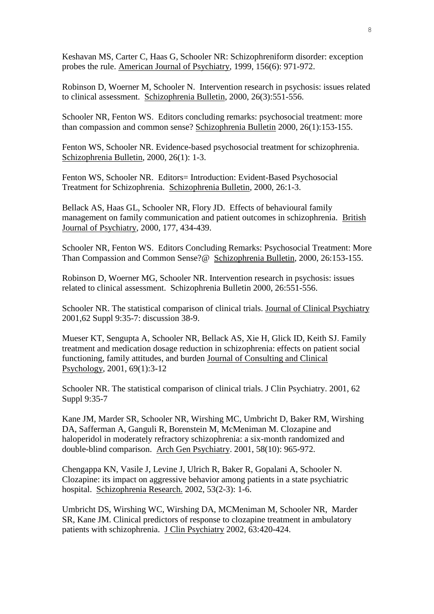Keshavan MS, Carter C, Haas G, Schooler NR: Schizophreniform disorder: exception probes the rule. American Journal of Psychiatry, 1999, 156(6): 971-972.

Robinson D, Woerner M, Schooler N. Intervention research in psychosis: issues related to clinical assessment. Schizophrenia Bulletin, 2000, 26(3):551-556.

Schooler NR, Fenton WS. Editors concluding remarks: psychosocial treatment: more than compassion and common sense? Schizophrenia Bulletin 2000, 26(1):153-155.

Fenton WS, Schooler NR. Evidence-based psychosocial treatment for schizophrenia. Schizophrenia Bulletin, 2000, 26(1): 1-3.

Fenton WS, Schooler NR. Editors= Introduction: Evident-Based Psychosocial Treatment for Schizophrenia. Schizophrenia Bulletin, 2000, 26:1-3.

Bellack AS, Haas GL, Schooler NR, Flory JD. Effects of behavioural family management on family communication and patient outcomes in schizophrenia. British Journal of Psychiatry, 2000, 177, 434-439.

Schooler NR, Fenton WS. Editors Concluding Remarks: Psychosocial Treatment: More Than Compassion and Common Sense?@ Schizophrenia Bulletin, 2000, 26:153-155.

Robinson D, Woerner MG, Schooler NR. Intervention research in psychosis: issues related to clinical assessment. Schizophrenia Bulletin 2000, 26:551-556.

Schooler NR. The statistical comparison of clinical trials. Journal of Clinical Psychiatry 2001,62 Suppl 9:35-7: discussion 38-9.

Mueser KT, Sengupta A, Schooler NR, Bellack AS, Xie H, Glick ID, Keith SJ. Family treatment and medication dosage reduction in schizophrenia: effects on patient social functioning, family attitudes, and burden Journal of Consulting and Clinical Psychology, 2001, 69(1):3-12

Schooler NR. The statistical comparison of clinical trials. J Clin Psychiatry. 2001, 62 Suppl 9:35-7

Kane JM, Marder SR, Schooler NR, Wirshing MC, Umbricht D, Baker RM, Wirshing DA, Safferman A, Ganguli R, Borenstein M, McMeniman M. Clozapine and haloperidol in moderately refractory schizophrenia: a six-month randomized and double-blind comparison. Arch Gen Psychiatry. 2001, 58(10): 965-972.

Chengappa KN, Vasile J, Levine J, Ulrich R, Baker R, Gopalani A, Schooler N. Clozapine: its impact on aggressive behavior among patients in a state psychiatric hospital. Schizophrenia Research. 2002, 53(2-3): 1-6.

Umbricht DS, Wirshing WC, Wirshing DA, MCMeniman M, Schooler NR, Marder SR, Kane JM. Clinical predictors of response to clozapine treatment in ambulatory patients with schizophrenia. J Clin Psychiatry 2002, 63:420-424.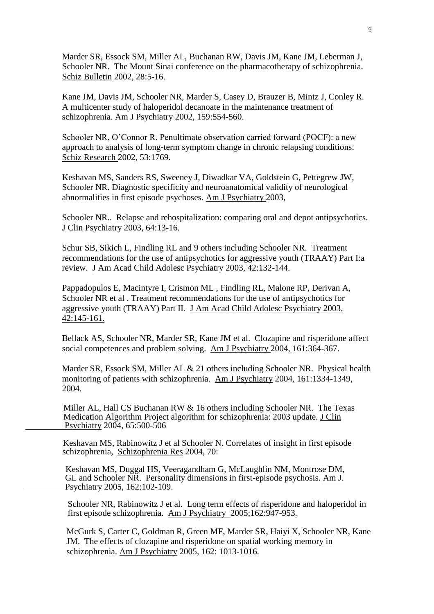Marder SR, Essock SM, Miller AL, Buchanan RW, Davis JM, Kane JM, Leberman J, Schooler NR. The Mount Sinai conference on the pharmacotherapy of schizophrenia. Schiz Bulletin 2002, 28:5-16.

Kane JM, Davis JM, Schooler NR, Marder S, Casey D, Brauzer B, Mintz J, Conley R. A multicenter study of haloperidol decanoate in the maintenance treatment of schizophrenia. Am J Psychiatry 2002, 159:554-560.

Schooler NR, O'Connor R. Penultimate observation carried forward (POCF): a new approach to analysis of long-term symptom change in chronic relapsing conditions. Schiz Research 2002, 53:1769.

Keshavan MS, Sanders RS, Sweeney J, Diwadkar VA, Goldstein G, Pettegrew JW, Schooler NR. Diagnostic specificity and neuroanatomical validity of neurological abnormalities in first episode psychoses. Am J Psychiatry 2003,

Schooler NR.. Relapse and rehospitalization: comparing oral and depot antipsychotics. J Clin Psychiatry 2003, 64:13-16.

Schur SB, Sikich L, Findling RL and 9 others including Schooler NR. Treatment recommendations for the use of antipsychotics for aggressive youth (TRAAY) Part I:a review. J Am Acad Child Adolesc Psychiatry 2003, 42:132-144.

Pappadopulos E, Macintyre I, Crismon ML , Findling RL, Malone RP, Derivan A, Schooler NR et al . Treatment recommendations for the use of antipsychotics for aggressive youth (TRAAY) Part II. J Am Acad Child Adolesc Psychiatry 2003, 42:145-161.

Bellack AS, Schooler NR, Marder SR, Kane JM et al. Clozapine and risperidone affect social competences and problem solving. Am J Psychiatry 2004, 161:364-367.

Marder SR, Essock SM, Miller AL & 21 others including Schooler NR. Physical health monitoring of patients with schizophrenia. Am J Psychiatry 2004, 161:1334-1349, 2004.

 Miller AL, Hall CS Buchanan RW & 16 others including Schooler NR. The Texas Medication Algorithm Project algorithm for schizophrenia: 2003 update. J Clin Psychiatry 2004, 65:500-506

 Keshavan MS, Rabinowitz J et al Schooler N. Correlates of insight in first episode schizophrenia, Schizophrenia Res 2004, 70:

 Keshavan MS, Duggal HS, Veeragandham G, McLaughlin NM, Montrose DM, GL and Schooler NR. Personality dimensions in first-episode psychosis. Am J. Psychiatry 2005, 162:102-109.

 Schooler NR, Rabinowitz J et al. Long term effects of risperidone and haloperidol in first episode schizophrenia. Am J Psychiatry 2005;162:947-953.

 McGurk S, Carter C, Goldman R, Green MF, Marder SR, Haiyi X, Schooler NR, Kane JM. The effects of clozapine and risperidone on spatial working memory in schizophrenia. Am J Psychiatry 2005, 162: 1013-1016.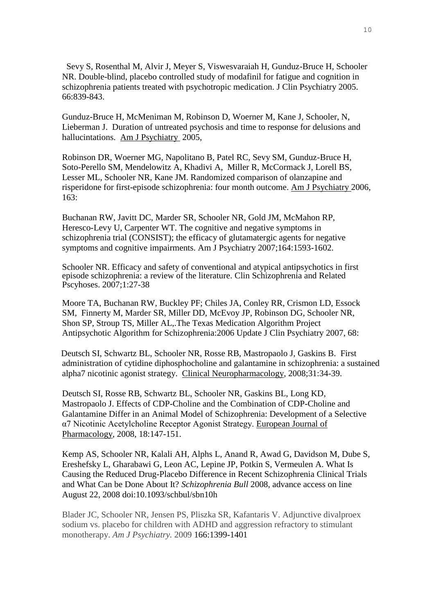Sevy S, Rosenthal M, Alvir J, Meyer S, Viswesvaraiah H, Gunduz-Bruce H, Schooler NR. Double-blind, placebo controlled study of modafinil for fatigue and cognition in schizophrenia patients treated with psychotropic medication. J Clin Psychiatry 2005. 66:839-843.

Gunduz-Bruce H, McMeniman M, Robinson D, Woerner M, Kane J, Schooler, N, Lieberman J. Duration of untreated psychosis and time to response for delusions and hallucintations. Am J Psychiatry 2005,

Robinson DR, Woerner MG, Napolitano B, Patel RC, Sevy SM, Gunduz-Bruce H, Soto-Perello SM, Mendelowitz A, Khadivi A, Miller R, McCormack J, Lorell BS, Lesser ML, Schooler NR, Kane JM. Randomized comparison of olanzapine and risperidone for first-episode schizophrenia: four month outcome. Am J Psychiatry 2006, 163:

Buchanan RW, Javitt DC, Marder SR, Schooler NR, Gold JM, McMahon RP, Heresco-Levy U, Carpenter WT. The cognitive and negative symptoms in schizophrenia trial (CONSIST); the efficacy of glutamatergic agents for negative symptoms and cognitive impairments. Am J Psychiatry 2007;164:1593-1602.

Schooler NR. Efficacy and safety of conventional and atypical antipsychotics in first episode schizophrenia: a review of the literature. Clin Schizophrenia and Related Pscyhoses. 2007;1:27-38

Moore TA, Buchanan RW, Buckley PF; Chiles JA, Conley RR, Crismon LD, Essock SM, Finnerty M, Marder SR, Miller DD, McEvoy JP, Robinson DG, Schooler NR, Shon SP, Stroup TS, Miller AL,.The Texas Medication Algorithm Project Antipsychotic Algorithm for Schizophrenia:2006 Update J Clin Psychiatry 2007, 68:

 Deutsch SI, Schwartz BL, Schooler NR, Rosse RB, Mastropaolo J, Gaskins B. First administration of cytidine diphosphocholine and galantamine in schizophrenia: a sustained alpha7 nicotinic agonist strategy. Clinical Neuropharmacology, 2008;31:34-39.

Deutsch SI, Rosse RB, Schwartz BL, Schooler NR, Gaskins BL, Long KD, Mastropaolo J. Effects of CDP-Choline and the Combination of CDP-Choline and Galantamine Differ in an Animal Model of Schizophrenia: Development of a Selective α7 Nicotinic Acetylcholine Receptor Agonist Strategy. European Journal of Pharmacology, 2008, 18:147-151.

Kemp AS, Schooler NR, Kalali AH, Alphs L, Anand R, Awad G, Davidson M, Dube S, Ereshefsky L, Gharabawi G, Leon AC, Lepine JP, Potkin S, Vermeulen A. What Is Causing the Reduced Drug-Placebo Difference in Recent Schizophrenia Clinical Trials and What Can be Done About It? *Schizophrenia Bull* 2008, advance access on line August 22, 2008 doi:10.1093/schbul/sbn10h

Blader JC, Schooler NR, Jensen PS, Pliszka SR, Kafantaris V. Adjunctive divalproex sodium vs. placebo for children with ADHD and aggression refractory to stimulant monotherapy. *Am J Psychiatry.* 2009 166:1399-1401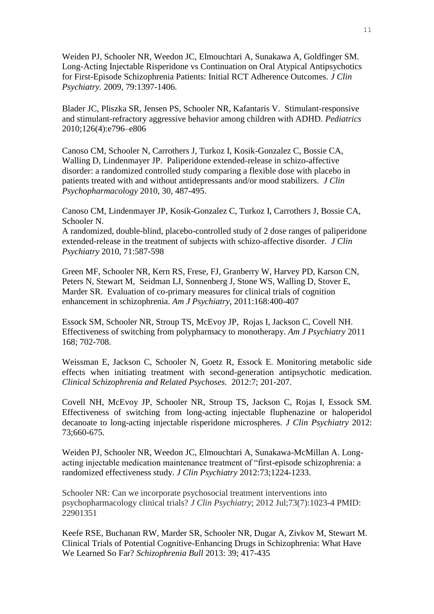Weiden PJ, Schooler NR, Weedon JC, Elmouchtari A, Sunakawa A, Goldfinger SM. Long-Acting Injectable Risperidone vs Continuation on Oral Atypical Antipsychotics for First-Episode Schizophrenia Patients: Initial RCT Adherence Outcomes. *J Clin Psychiatry.* 2009, 79:1397-1406.

Blader JC, Pliszka SR, Jensen PS, Schooler NR, Kafantaris V. Stimulant-responsive and stimulant-refractory aggressive behavior among children with ADHD. *Pediatrics* 2010;126(4):e796–e806

Canoso CM, Schooler N, Carrothers J, Turkoz I, Kosik-Gonzalez C, Bossie CA, Walling D, Lindenmayer JP. Paliperidone extended-release in schizo-affective disorder: a randomized controlled study comparing a flexible dose with placebo in patients treated with and without antidepressants and/or mood stabilizers. *J Clin Psychopharmacology* 2010, 30, 487-495.

Canoso CM, Lindenmayer JP, Kosik-Gonzalez C, Turkoz I, Carrothers J, Bossie CA, Schooler N.

A randomized, double-blind, placebo-controlled study of 2 dose ranges of paliperidone extended-release in the treatment of subjects with schizo-affective disorder. *J Clin Psychiatry* 2010, 71:587-598

Green MF, Schooler NR, Kern RS, Frese, FJ, Granberry W, Harvey PD, Karson CN, Peters N, Stewart M, Seidman LJ, Sonnenberg J, Stone WS, Walling D, Stover E, Marder SR. Evaluation of co-primary measures for clinical trials of cognition enhancement in schizophrenia. *Am J Psychiatry,* 2011:168:400-407

Essock SM, Schooler NR, Stroup TS, McEvoy JP, Rojas I, Jackson C, Covell NH. Effectiveness of switching from polypharmacy to monotherapy. *Am J Psychiatry* 2011 168; 702-708.

Weissman E, Jackson C, Schooler N, Goetz R, Essock E. Monitoring metabolic side effects when initiating treatment with second-generation antipsychotic medication. *Clinical Schizophrenia and Related Psychoses.* 2012:7; 201-207.

Covell NH, McEvoy JP, Schooler NR, Stroup TS, Jackson C, Rojas I, Essock SM. Effectiveness of switching from long-acting injectable fluphenazine or haloperidol decanoate to long-acting injectable risperidone microspheres. *J Clin Psychiatry* 2012: 73;660-675.

Weiden PJ, Schooler NR, Weedon JC, Elmouchtari A, Sunakawa-McMillan A. Longacting injectable medication maintenance treatment of "first-episode schizophrenia: a randomized effectiveness study. *J Clin Psychiatry* 2012:73;1224-1233.

Schooler NR: Can we incorporate psychosocial treatment interventions into psychopharmacology clinical trials? *J Clin Psychiatry*; 2012 Jul;73(7):1023-4 PMID: 22901351

Keefe RSE, Buchanan RW, Marder SR, Schooler NR, Dugar A, Zivkov M, Stewart M. Clinical Trials of Potential Cognitive-Enhancing Drugs in Schizophrenia: What Have We Learned So Far? *Schizophrenia Bull* 2013: 39; 417-435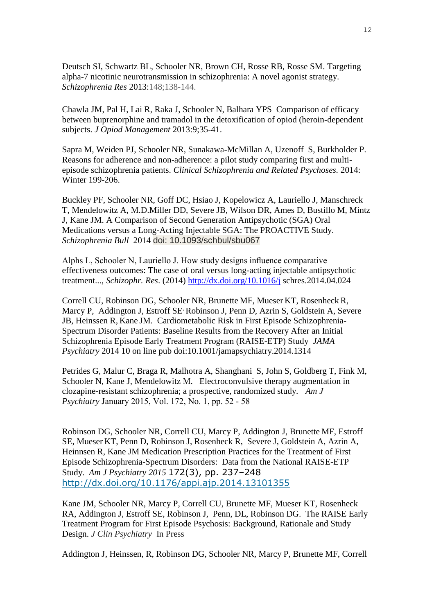Deutsch SI, Schwartz BL, Schooler NR, Brown CH, Rosse RB, Rosse SM. Targeting alpha-7 nicotinic neurotransmission in schizophrenia: A novel agonist strategy. *Schizophrenia Res* 2013:148;138-144.

Chawla JM, Pal H, Lai R, Raka J, Schooler N, Balhara YPS Comparison of efficacy between buprenorphine and tramadol in the detoxification of opiod (heroin-dependent subjects. *J Opiod Management* 2013:9;35-41.

Sapra M, Weiden PJ, Schooler NR, Sunakawa-McMillan A, Uzenoff S, Burkholder P. Reasons for adherence and non-adherence: a pilot study comparing first and multiepisode schizophrenia patients. *Clinical Schizophrenia and Related Psychoses.* 2014: Winter 199-206.

Buckley PF, Schooler NR, Goff DC, Hsiao J, Kopelowicz A, Lauriello J, Manschreck T, Mendelowitz A, M.D.Miller DD, Severe JB, Wilson DR, Ames D, Bustillo M, Mintz J, Kane JM. A Comparison of Second Generation Antipsychotic (SGA) Oral Medications versus a Long-Acting Injectable SGA: The PROACTIVE Study. *Schizophrenia Bull* 2014 doi: 10.1093/schbul/sbu067

Alphs L, Schooler N, Lauriello J. How study designs influence comparative effectiveness outcomes: The case of oral versus long-acting injectable antipsychotic treatment..., *Schizophr. Res*. (2014)<http://dx.doi.org/10.1016/j> schres.2014.04.024

Correll CU, Robinson DG, Schooler NR, Brunette MF, Mueser KT, Rosenheck R, Marcy P, Addington J, Estroff SE<sup>,</sup> Robinson J, Penn D, Azrin S, Goldstein A, Severe JB, Heinssen R, Kane JM. Cardiometabolic Risk in First Episode Schizophrenia-Spectrum Disorder Patients: Baseline Results from the Recovery After an Initial Schizophrenia Episode Early Treatment Program (RAISE-ETP) Study *JAMA Psychiatry* 2014 10 on line pub doi:10.1001/jamapsychiatry.2014.1314

Petrides G, Malur C, Braga R, Malhotra A, Shanghani S, John S, Goldberg T, Fink M, Schooler N, Kane J, Mendelowitz M. Electroconvulsive therapy augmentation in clozapine-resistant schizophrenia; a prospective, randomized study. *Am J Psychiatry* January 2015, Vol. 172, No. 1, pp. 52 - 58

Robinson DG, Schooler NR, Correll CU, Marcy P, Addington J, Brunette MF, Estroff SE, Mueser KT, Penn D, Robinson J, Rosenheck R, Severe J, Goldstein A, Azrin A, Heinnsen R, Kane JM Medication Prescription Practices for the Treatment of First Episode Schizophrenia-Spectrum Disorders: Data from the National RAISE-ETP Study. *Am J Psychiatry 2015* 172(3), pp. 237–248 <http://dx.doi.org/10.1176/appi.ajp.2014.13101355>

Kane JM, Schooler NR, Marcy P, Correll CU, Brunette MF, Mueser KT, Rosenheck RA, Addington J, Estroff SE, Robinson J, Penn, DL, Robinson DG. The RAISE Early Treatment Program for First Episode Psychosis: Background, Rationale and Study Design. *J Clin Psychiatry* In Press

Addington J, Heinssen, R, Robinson DG, Schooler NR, Marcy P, Brunette MF, Correll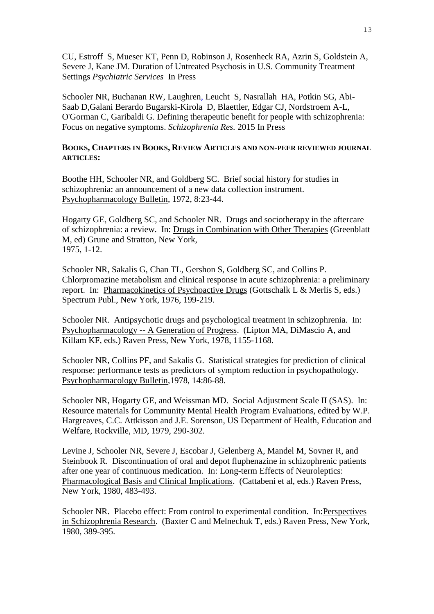CU, Estroff S, Mueser KT, Penn D, Robinson J, Rosenheck RA, Azrin S, Goldstein A, Severe J, Kane JM. Duration of Untreated Psychosis in U.S. Community Treatment Settings *Psychiatric Services* In Press

Schooler NR, Buchanan RW, Laughren, Leucht S, Nasrallah HA, Potkin SG, Abi-Saab D,Galani Berardo Bugarski-Kirola D, Blaettler, Edgar CJ, Nordstroem A-L, O'Gorman C, Garibaldi G. Defining therapeutic benefit for people with schizophrenia: Focus on negative symptoms. *Schizophrenia Res.* 2015 In Press

## **BOOKS, CHAPTERS IN BOOKS, REVIEW ARTICLES AND NON-PEER REVIEWED JOURNAL ARTICLES:**

Boothe HH, Schooler NR, and Goldberg SC. Brief social history for studies in schizophrenia: an announcement of a new data collection instrument. Psychopharmacology Bulletin, 1972, 8:23-44.

Hogarty GE, Goldberg SC, and Schooler NR. Drugs and sociotherapy in the aftercare of schizophrenia: a review. In: Drugs in Combination with Other Therapies (Greenblatt M, ed) Grune and Stratton, New York, 1975, 1-12.

Schooler NR, Sakalis G, Chan TL, Gershon S, Goldberg SC, and Collins P. Chlorpromazine metabolism and clinical response in acute schizophrenia: a preliminary report. In: Pharmacokinetics of Psychoactive Drugs (Gottschalk L & Merlis S, eds.) Spectrum Publ., New York, 1976, 199-219.

Schooler NR. Antipsychotic drugs and psychological treatment in schizophrenia. In: Psychopharmacology -- A Generation of Progress. (Lipton MA, DiMascio A, and Killam KF, eds.) Raven Press, New York, 1978, 1155-1168.

Schooler NR, Collins PF, and Sakalis G. Statistical strategies for prediction of clinical response: performance tests as predictors of symptom reduction in psychopathology. Psychopharmacology Bulletin,1978, 14:86-88.

Schooler NR, Hogarty GE, and Weissman MD. Social Adjustment Scale II (SAS). In: Resource materials for Community Mental Health Program Evaluations, edited by W.P. Hargreaves, C.C. Attkisson and J.E. Sorenson, US Department of Health, Education and Welfare, Rockville, MD, 1979, 290-302.

Levine J, Schooler NR, Severe J, Escobar J, Gelenberg A, Mandel M, Sovner R, and Steinbook R. Discontinuation of oral and depot fluphenazine in schizophrenic patients after one year of continuous medication. In: Long-term Effects of Neuroleptics: Pharmacological Basis and Clinical Implications. (Cattabeni et al, eds.) Raven Press, New York, 1980, 483-493.

Schooler NR. Placebo effect: From control to experimental condition. In:Perspectives in Schizophrenia Research. (Baxter C and Melnechuk T, eds.) Raven Press, New York, 1980, 389-395.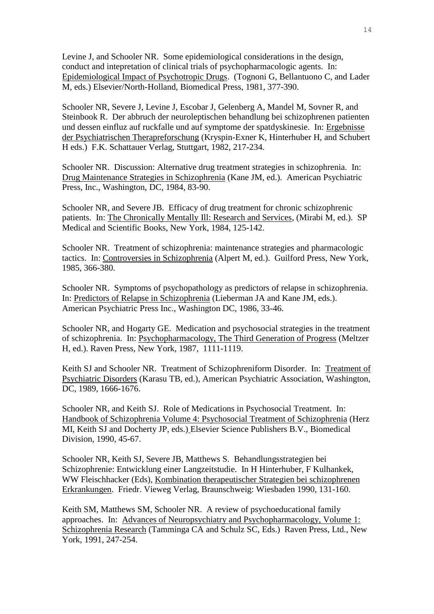Levine J, and Schooler NR. Some epidemiological considerations in the design, conduct and intepretation of clinical trials of psychopharmacologic agents. In: Epidemiological Impact of Psychotropic Drugs. (Tognoni G, Bellantuono C, and Lader M, eds.) Elsevier/North-Holland, Biomedical Press, 1981, 377-390.

Schooler NR, Severe J, Levine J, Escobar J, Gelenberg A, Mandel M, Sovner R, and Steinbook R. Der abbruch der neuroleptischen behandlung bei schizophrenen patienten und dessen einfluz auf ruckfalle und auf symptome der spatdyskinesie. In: Ergebnisse der Psychiatrischen Therapreforschung (Kryspin-Exner K, Hinterhuber H, and Schubert H eds.) F.K. Schattauer Verlag, Stuttgart, 1982, 217-234.

Schooler NR. Discussion: Alternative drug treatment strategies in schizophrenia. In: Drug Maintenance Strategies in Schizophrenia (Kane JM, ed.). American Psychiatric Press, Inc., Washington, DC, 1984, 83-90.

Schooler NR, and Severe JB. Efficacy of drug treatment for chronic schizophrenic patients. In: The Chronically Mentally Ill: Research and Services, (Mirabi M, ed.). SP Medical and Scientific Books, New York, 1984, 125-142.

Schooler NR. Treatment of schizophrenia: maintenance strategies and pharmacologic tactics. In: Controversies in Schizophrenia (Alpert M, ed.). Guilford Press, New York, 1985, 366-380.

Schooler NR. Symptoms of psychopathology as predictors of relapse in schizophrenia. In: Predictors of Relapse in Schizophrenia (Lieberman JA and Kane JM, eds.). American Psychiatric Press Inc., Washington DC, 1986, 33-46.

Schooler NR, and Hogarty GE. Medication and psychosocial strategies in the treatment of schizophrenia. In: Psychopharmacology, The Third Generation of Progress (Meltzer H, ed.). Raven Press, New York, 1987, 1111-1119.

Keith SJ and Schooler NR. Treatment of Schizophreniform Disorder. In: Treatment of Psychiatric Disorders (Karasu TB, ed.), American Psychiatric Association, Washington, DC, 1989, 1666-1676.

Schooler NR, and Keith SJ. Role of Medications in Psychosocial Treatment. In: Handbook of Schizophrenia Volume 4: Psychosocial Treatment of Schizophrenia (Herz MI, Keith SJ and Docherty JP, eds.) Elsevier Science Publishers B.V., Biomedical Division, 1990, 45-67.

Schooler NR, Keith SJ, Severe JB, Matthews S. Behandlungsstrategien bei Schizophrenie: Entwicklung einer Langzeitstudie. In H Hinterhuber, F Kulhankek, WW Fleischhacker (Eds), Kombination therapeutischer Strategien bei schizophrenen Erkrankungen. Friedr. Vieweg Verlag, Braunschweig: Wiesbaden 1990, 131-160.

Keith SM, Matthews SM, Schooler NR. A review of psychoeducational family approaches. In: Advances of Neuropsychiatry and Psychopharmacology, Volume 1: Schizophrenia Research (Tamminga CA and Schulz SC, Eds.) Raven Press, Ltd., New York, 1991, 247-254.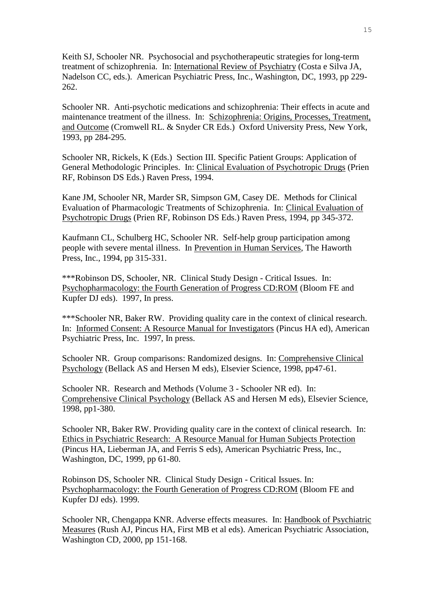Keith SJ, Schooler NR. Psychosocial and psychotherapeutic strategies for long-term treatment of schizophrenia. In: International Review of Psychiatry (Costa e Silva JA, Nadelson CC, eds.). American Psychiatric Press, Inc., Washington, DC, 1993, pp 229- 262.

Schooler NR. Anti-psychotic medications and schizophrenia: Their effects in acute and maintenance treatment of the illness. In: Schizophrenia: Origins, Processes, Treatment, and Outcome (Cromwell RL. & Snyder CR Eds.) Oxford University Press, New York, 1993, pp 284-295.

Schooler NR, Rickels, K (Eds.) Section III. Specific Patient Groups: Application of General Methodologic Principles. In: Clinical Evaluation of Psychotropic Drugs (Prien RF, Robinson DS Eds.) Raven Press, 1994.

Kane JM, Schooler NR, Marder SR, Simpson GM, Casey DE. Methods for Clinical Evaluation of Pharmacologic Treatments of Schizophrenia. In: Clinical Evaluation of Psychotropic Drugs (Prien RF, Robinson DS Eds.) Raven Press, 1994, pp 345-372.

Kaufmann CL, Schulberg HC, Schooler NR. Self-help group participation among people with severe mental illness. In Prevention in Human Services, The Haworth Press, Inc., 1994, pp 315-331.

\*\*\*Robinson DS, Schooler, NR. Clinical Study Design - Critical Issues. In: Psychopharmacology: the Fourth Generation of Progress CD:ROM (Bloom FE and Kupfer DJ eds). 1997, In press.

\*\*\*Schooler NR, Baker RW. Providing quality care in the context of clinical research. In: Informed Consent: A Resource Manual for Investigators (Pincus HA ed), American Psychiatric Press, Inc. 1997, In press.

Schooler NR. Group comparisons: Randomized designs. In: Comprehensive Clinical Psychology (Bellack AS and Hersen M eds), Elsevier Science, 1998, pp47-61.

Schooler NR. Research and Methods (Volume 3 - Schooler NR ed). In: Comprehensive Clinical Psychology (Bellack AS and Hersen M eds), Elsevier Science, 1998, pp1-380.

Schooler NR, Baker RW. Providing quality care in the context of clinical research. In: Ethics in Psychiatric Research: A Resource Manual for Human Subjects Protection (Pincus HA, Lieberman JA, and Ferris S eds), American Psychiatric Press, Inc., Washington, DC, 1999, pp 61-80.

Robinson DS, Schooler NR. Clinical Study Design - Critical Issues. In: Psychopharmacology: the Fourth Generation of Progress CD:ROM (Bloom FE and Kupfer DJ eds). 1999.

Schooler NR, Chengappa KNR. Adverse effects measures. In: Handbook of Psychiatric Measures (Rush AJ, Pincus HA, First MB et al eds). American Psychiatric Association, Washington CD, 2000, pp 151-168.